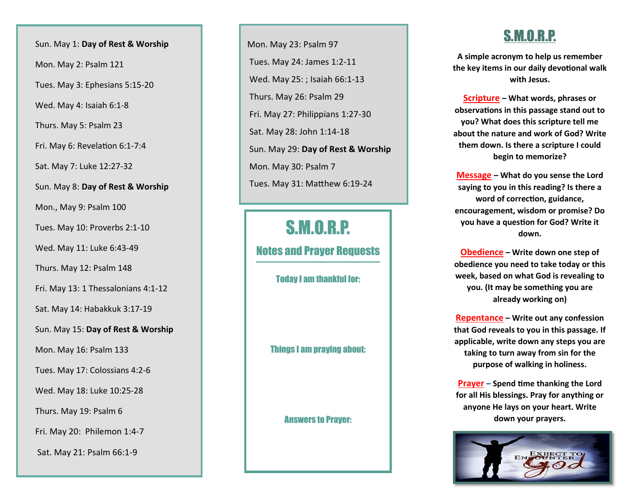Sun. May 1: **Day of Rest & Worship**

Mon. May 2: Psalm 121

Tues. May 3: Ephesians 5:15 -20

Wed. May 4: Isaiah 6:1 - 8

Thurs. May 5: Psalm 23

Fri. May 6: Revelation 6:1 -7:4

Sat. May 7: Luke 12:27 -32

Sun. May 8: **Day of Rest & Worship**

Mon., May 9: Psalm 100

Tues. May 10: Proverbs 2:1 -10

Wed. May 11: Luke 6:43 -49

Thurs. May 12: Psalm 148

Fri. May 13: 1 Thessalonians 4:1 -12

Sat. May 14: Habakkuk 3:17 -19

Sun. May 15: **Day of Rest & Worship**

Mon. May 16: Psalm 133

Tues. May 17: Colossians 4:2 - 6

Wed. May 18: Luke 10:25 -28

Thurs. May 19: Psalm 6

Fri. May 20: Philemon 1:4 - 7

Sat. May 21: Psalm 66:1 - 9

 Mon. May 23: Psalm 97 Tues. May 24: James 1:2 -11 Wed. May 25: ; Isaiah 66:1 -13 Thurs. May 26: Psalm 29 Fri. May 27: Philippians 1:27 -30 Sat. May 28: John 1:14 -18 Sun. May 29: **Day of Rest & Worship** Mon. May 30: Psalm 7 Tues. May 31: Matthew 6:19 - 2 4

## S.M.O.R.P.

Notes and Prayer Requests ——————————————

Today I am thankful for:

Things I am praying about:

Answers to Prayer:

#### S.M.O.R.P.

**A simple acronym to help us remember the key items in our daily devotional walk with Jesus.**

**Scripture – What words, phrases or observations in this passage stand out to you? What does this scripture tell me about the nature and work of God? Write them down. Is there a scripture I could begin to memorize?**

**Message – What do you sense the Lord saying to you in this reading? Is there a word of correction, guidance, encouragement, wisdom or promise? Do you have a question for God? Write it down.**

**Obedience – Write down one step of obedience you need to take today or this week, based on what God is revealing to you. (It may be something you are already working on)**

**Repentance – Write out any confession that God reveals to you in this passage. If applicable, write down any steps you are taking to turn away from sin for the purpose of walking in holiness.**

**Prayer – Spend time thanking the Lord for all His blessings. Pray for anything or anyone He lays on your heart. Write down your prayers.**